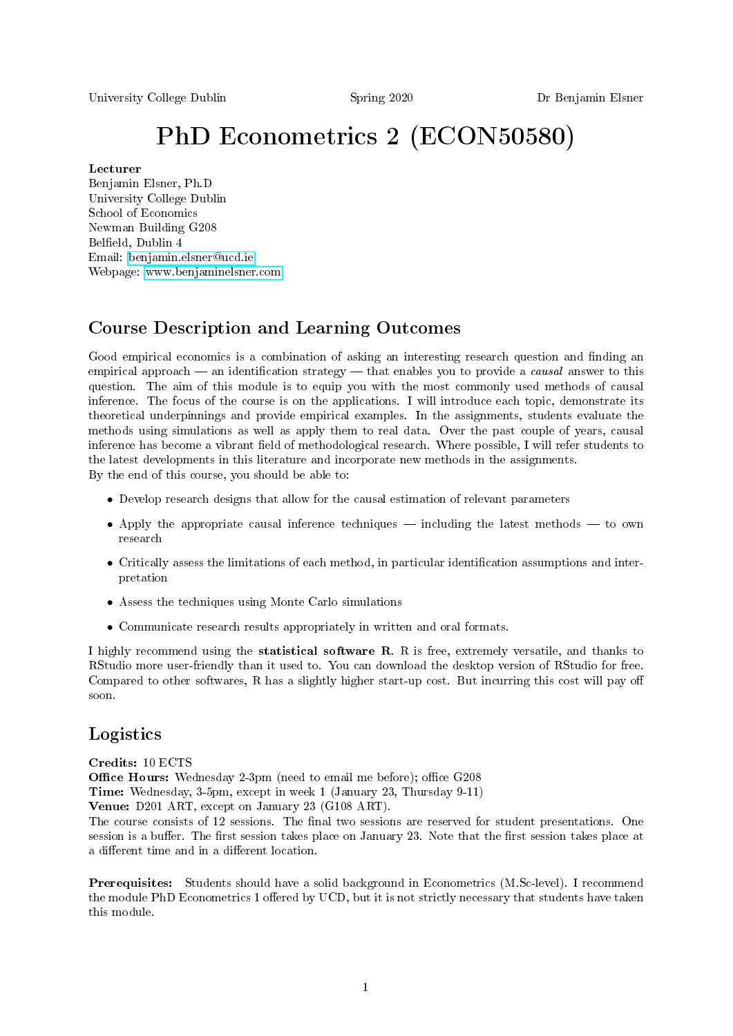University College Dublin Spring 2020 Dr Benjamin Elsner

# PhD Econometrics 2 (ECON50580)

#### Lecturer

Benjamin Elsner, Ph.D University College Dublin School of Economics Newman Building G208 Belfield, Dublin 4 Email: [benjamin.elsner@ucd.ie](mailto:benjamin.elsner@ucd.ie) Webpage: [www.benjaminelsner.com](http://www.benjaminelsner.com)

# Course Description and Learning Outcomes

Good empirical economics is a combination of asking an interesting research question and finding an empirical approach  $-$  an identification strategy  $-$  that enables you to provide a *causal* answer to this question. The aim of this module is to equip you with the most commonly used methods of causal inference. The focus of the course is on the applications. I will introduce each topic, demonstrate its theoretical underpinnings and provide empirical examples. In the assignments, students evaluate the methods using simulations as well as apply them to real data. Over the past couple of years, causal inference has become a vibrant field of methodological research. Where possible, I will refer students to the latest developments in this literature and incorporate new methods in the assignments. By the end of this course, you should be able to:

- Develop research designs that allow for the causal estimation of relevant parameters
- Apply the appropriate causal inference techniques  $-$  including the latest methods  $-$  to own research
- Critically assess the limitations of each method, in particular identification assumptions and interpretation
- Assess the techniques using Monte Carlo simulations
- Communicate research results appropriately in written and oral formats.

I highly recommend using the statistical software R. R is free, extremely versatile, and thanks to RStudio more user-friendly than it used to. You can download the desktop version of RStudio for free. Compared to other softwares, R has a slightly higher start-up cost. But incurring this cost will pay off soon.

## Logistics

Credits: 10 ECTS

**Office Hours:** Wednesday 2-3pm (need to email me before); office G208

Time: Wednesday, 3-5pm, except in week 1 (January 23, Thursday 9-11)

Venue: D201 ART, except on January 23 (G108 ART).

The course consists of 12 sessions. The final two sessions are reserved for student presentations. One session is a buffer. The first session takes place on January 23. Note that the first session takes place at a different time and in a different location.

Prerequisites: Students should have a solid background in Econometrics (M.Sc-level). I recommend the module PhD Econometrics 1 offered by UCD, but it is not strictly necessary that students have taken this module.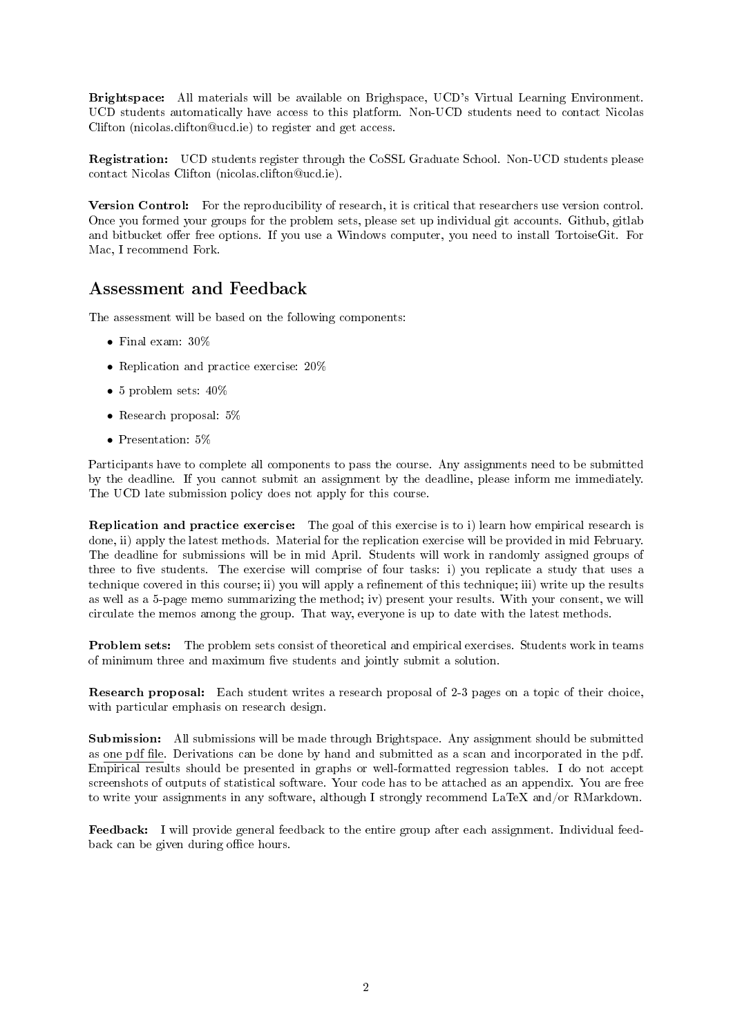Brightspace: All materials will be available on Brighspace, UCD's Virtual Learning Environment. UCD students automatically have access to this platform. Non-UCD students need to contact Nicolas Clifton (nicolas.clifton@ucd.ie) to register and get access.

Registration: UCD students register through the CoSSL Graduate School. Non-UCD students please contact Nicolas Clifton (nicolas.clifton@ucd.ie).

Version Control: For the reproducibility of research, it is critical that researchers use version control. Once you formed your groups for the problem sets, please set up individual git accounts. Github, gitlab and bitbucket offer free options. If you use a Windows computer, you need to install TortoiseGit. For Mac, I recommend Fork.

### Assessment and Feedback

The assessment will be based on the following components:

- Final exam: 30%
- Replication and practice exercise: 20%
- 5 problem sets: 40%
- Research proposal: 5%
- Presentation: 5%

Participants have to complete all components to pass the course. Any assignments need to be submitted by the deadline. If you cannot submit an assignment by the deadline, please inform me immediately. The UCD late submission policy does not apply for this course.

Replication and practice exercise: The goal of this exercise is to i) learn how empirical research is done, ii) apply the latest methods. Material for the replication exercise will be provided in mid February. The deadline for submissions will be in mid April. Students will work in randomly assigned groups of three to five students. The exercise will comprise of four tasks: i) you replicate a study that uses a technique covered in this course; ii) you will apply a refinement of this technique; iii) write up the results as well as a 5-page memo summarizing the method; iv) present your results. With your consent, we will circulate the memos among the group. That way, everyone is up to date with the latest methods.

Problem sets: The problem sets consist of theoretical and empirical exercises. Students work in teams of minimum three and maximum five students and jointly submit a solution.

Research proposal: Each student writes a research proposal of 2-3 pages on a topic of their choice, with particular emphasis on research design.

Submission: All submissions will be made through Brightspace. Any assignment should be submitted as one pdf le. Derivations can be done by hand and submitted as a scan and incorporated in the pdf. Empirical results should be presented in graphs or well-formatted regression tables. I do not accept screenshots of outputs of statistical software. Your code has to be attached as an appendix. You are free to write your assignments in any software, although I strongly recommend LaTeX and/or RMarkdown.

Feedback: I will provide general feedback to the entire group after each assignment. Individual feedback can be given during office hours.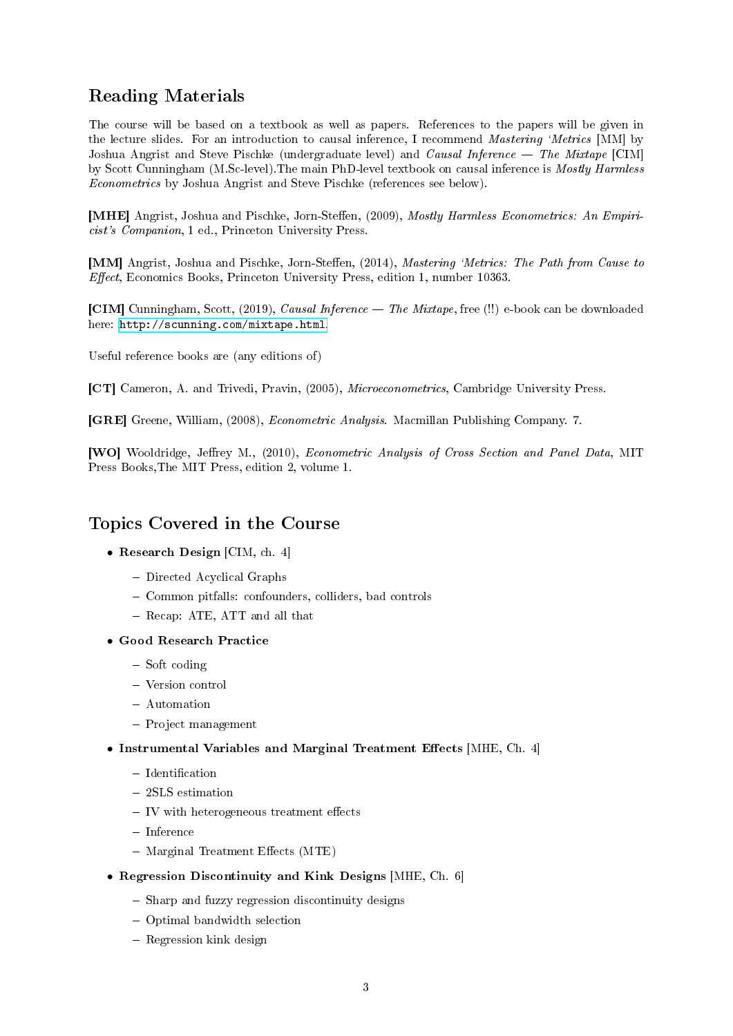# Reading Materials

The course will be based on a textbook as well as papers. References to the papers will be given in the lecture slides. For an introduction to causal inference, I recommend *Mastering 'Metrics* [MM] by Joshua Angrist and Steve Pischke (undergraduate level) and Causal Inference  $-$  The Mixtape [CIM] by Scott Cunningham (M.Sc-level).The main PhD-level textbook on causal inference is Mostly Harmless Econometrics by Joshua Angrist and Steve Pischke (references see below).

[MHE] Angrist, Joshua and Pischke, Jorn-Steffen, (2009), *Mostly Harmless Econometrics: An Empiri*cist's Companion, 1 ed., Princeton University Press.

[MM] Angrist, Joshua and Pischke, Jorn-Steffen, (2014), Mastering 'Metrics: The Path from Cause to Effect, Economics Books, Princeton University Press, edition 1, number 10363.

[CIM] Cunningham, Scott, (2019), Causal Inference The Mixtape, free (!!) e-book can be downloaded here: [http://scunning.com/mixtape.html.](http://scunning.com/mixtape.html)

Useful reference books are (any editions of)

[CT] Cameron, A. and Trivedi, Pravin, (2005), Microeconometrics, Cambridge University Press.

[GRE] Greene, William, (2008), Econometric Analysis. Macmillan Publishing Company. 7.

[WO] Wooldridge, Jeffrey M., (2010), *Econometric Analysis of Cross Section and Panel Data*, MIT Press Books,The MIT Press, edition 2, volume 1.

### Topics Covered in the Course

- Research Design [CIM, ch. 4]
	- Directed Acyclical Graphs
	- Common pitfalls: confounders, colliders, bad controls
	- Recap: ATE, ATT and all that
- Good Research Practice
	- $-$  Soft coding
	- Version control
	- Automation
	- Project management
- Instrumental Variables and Marginal Treatment Effects  $[MHE, Ch. 4]$ 
	- $-$  Identification
	- 2SLS estimation
	- $-$  IV with heterogeneous treatment effects
	- $-$ Inference
	- $-$  Marginal Treatment Effects (MTE)
- Regression Discontinuity and Kink Designs [MHE, Ch. 6]
	- Sharp and fuzzy regression discontinuity designs
	- Optimal bandwidth selection
	- Regression kink design